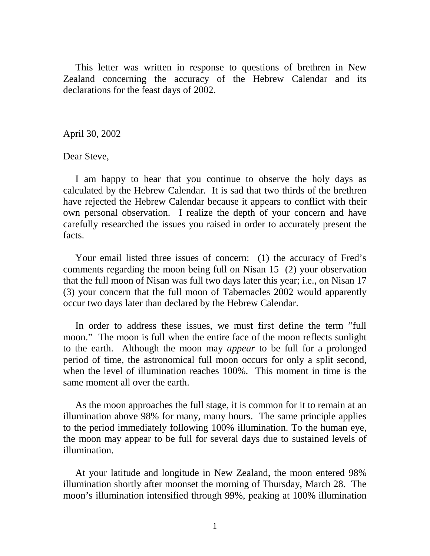This letter was written in response to questions of brethren in New Zealand concerning the accuracy of the Hebrew Calendar and its declarations for the feast days of 2002.

April 30, 2002

Dear Steve,

 I am happy to hear that you continue to observe the holy days as calculated by the Hebrew Calendar. It is sad that two thirds of the brethren have rejected the Hebrew Calendar because it appears to conflict with their own personal observation. I realize the depth of your concern and have carefully researched the issues you raised in order to accurately present the facts.

 Your email listed three issues of concern: (1) the accuracy of Fred's comments regarding the moon being full on Nisan 15 (2) your observation that the full moon of Nisan was full two days later this year; i.e., on Nisan 17 (3) your concern that the full moon of Tabernacles 2002 would apparently occur two days later than declared by the Hebrew Calendar.

 In order to address these issues, we must first define the term "full moon." The moon is full when the entire face of the moon reflects sunlight to the earth. Although the moon may *appear* to be full for a prolonged period of time, the astronomical full moon occurs for only a split second, when the level of illumination reaches 100%. This moment in time is the same moment all over the earth.

 As the moon approaches the full stage, it is common for it to remain at an illumination above 98% for many, many hours. The same principle applies to the period immediately following 100% illumination. To the human eye, the moon may appear to be full for several days due to sustained levels of illumination.

 At your latitude and longitude in New Zealand, the moon entered 98% illumination shortly after moonset the morning of Thursday, March 28. The moon's illumination intensified through 99%, peaking at 100% illumination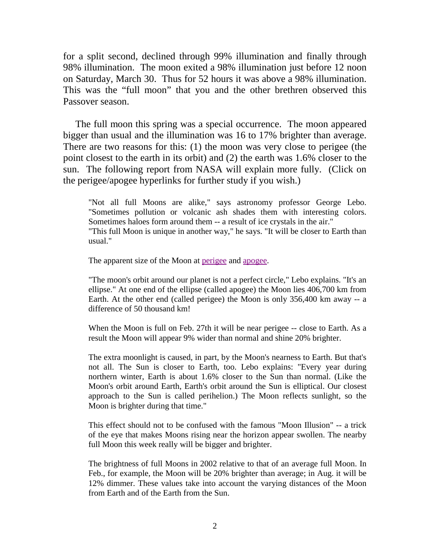for a split second, declined through 99% illumination and finally through 98% illumination. The moon exited a 98% illumination just before 12 noon on Saturday, March 30. Thus for 52 hours it was above a 98% illumination. This was the "full moon" that you and the other brethren observed this Passover season.

 The full moon this spring was a special occurrence. The moon appeared bigger than usual and the illumination was 16 to 17% brighter than average. There are two reasons for this: (1) the moon was very close to perigee (the point closest to the earth in its orbit) and (2) the earth was 1.6% closer to the sun. The following report from NASA will explain more fully. (Click on the perigee/apogee hyperlinks for further study if you wish.)

"Not all full Moons are alike," says astronomy professor George Lebo. "Sometimes pollution or volcanic ash shades them with interesting colors. Sometimes haloes form around them -- a result of ice crystals in the air." "This full Moon is unique in another way," he says. "It will be closer to Earth than usual."

The apparent size of the Moon at [perigee](http://fourmilab.ch/earthview/pacalc.html) and [apogee.](http://fourmilab.ch/earthview/pacalc.html)

"The moon's orbit around our planet is not a perfect circle," Lebo explains. "It's an ellipse." At one end of the ellipse (called apogee) the Moon lies 406,700 km from Earth. At the other end (called perigee) the Moon is only 356,400 km away -- a difference of 50 thousand km!

When the Moon is full on Feb. 27th it will be near perigee -- close to Earth. As a result the Moon will appear 9% wider than normal and shine 20% brighter.

The extra moonlight is caused, in part, by the Moon's nearness to Earth. But that's not all. The Sun is closer to Earth, too. Lebo explains: "Every year during northern winter, Earth is about 1.6% closer to the Sun than normal. (Like the Moon's orbit around Earth, Earth's orbit around the Sun is elliptical. Our closest approach to the Sun is called perihelion.) The Moon reflects sunlight, so the Moon is brighter during that time."

This effect should not to be confused with the famous "Moon Illusion" -- a trick of the eye that makes Moons rising near the horizon appear swollen. The nearby full Moon this week really will be bigger and brighter.

The brightness of full Moons in 2002 relative to that of an average full Moon. In Feb., for example, the Moon will be 20% brighter than average; in Aug. it will be 12% dimmer. These values take into account the varying distances of the Moon from Earth and of the Earth from the Sun.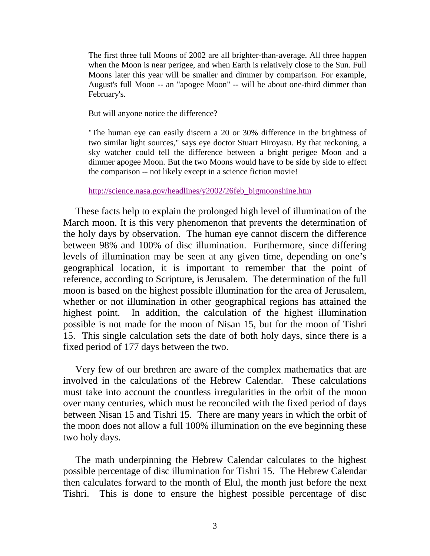The first three full Moons of 2002 are all brighter-than-average. All three happen when the Moon is near perigee, and when Earth is relatively close to the Sun. Full Moons later this year will be smaller and dimmer by comparison. For example, August's full Moon -- an "apogee Moon" -- will be about one-third dimmer than February's.

But will anyone notice the difference?

"The human eye can easily discern a 20 or 30% difference in the brightness of two similar light sources," says eye doctor Stuart Hiroyasu. By that reckoning, a sky watcher could tell the difference between a bright perigee Moon and a dimmer apogee Moon. But the two Moons would have to be side by side to effect the comparison -- not likely except in a science fiction movie!

#### [http://science.nasa.gov/headlines/y2002/26feb\\_bigmoonshine.htm](http://science.nasa.gov/headlines/y2002/26feb_bigmoonshine.htm)

 These facts help to explain the prolonged high level of illumination of the March moon. It is this very phenomenon that prevents the determination of the holy days by observation. The human eye cannot discern the difference between 98% and 100% of disc illumination. Furthermore, since differing levels of illumination may be seen at any given time, depending on one's geographical location, it is important to remember that the point of reference, according to Scripture, is Jerusalem. The determination of the full moon is based on the highest possible illumination for the area of Jerusalem, whether or not illumination in other geographical regions has attained the highest point. In addition, the calculation of the highest illumination possible is not made for the moon of Nisan 15, but for the moon of Tishri 15. This single calculation sets the date of both holy days, since there is a fixed period of 177 days between the two.

 Very few of our brethren are aware of the complex mathematics that are involved in the calculations of the Hebrew Calendar. These calculations must take into account the countless irregularities in the orbit of the moon over many centuries, which must be reconciled with the fixed period of days between Nisan 15 and Tishri 15. There are many years in which the orbit of the moon does not allow a full 100% illumination on the eve beginning these two holy days.

 The math underpinning the Hebrew Calendar calculates to the highest possible percentage of disc illumination for Tishri 15. The Hebrew Calendar then calculates forward to the month of Elul, the month just before the next Tishri. This is done to ensure the highest possible percentage of disc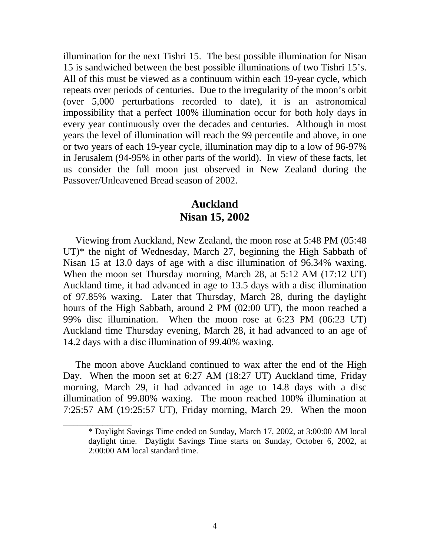illumination for the next Tishri 15. The best possible illumination for Nisan 15 is sandwiched between the best possible illuminations of two Tishri 15's. All of this must be viewed as a continuum within each 19-year cycle, which repeats over periods of centuries. Due to the irregularity of the moon's orbit (over 5,000 perturbations recorded to date), it is an astronomical impossibility that a perfect 100% illumination occur for both holy days in every year continuously over the decades and centuries. Although in most years the level of illumination will reach the 99 percentile and above, in one or two years of each 19-year cycle, illumination may dip to a low of 96-97% in Jerusalem (94-95% in other parts of the world). In view of these facts, let us consider the full moon just observed in New Zealand during the Passover/Unleavened Bread season of 2002.

### **Auckland Nisan 15, 2002**

 Viewing from Auckland, New Zealand, the moon rose at 5:48 PM (05:48 UT)\* the night of Wednesday, March 27, beginning the High Sabbath of Nisan 15 at 13.0 days of age with a disc illumination of 96.34% waxing. When the moon set Thursday morning, March 28, at 5:12 AM (17:12 UT) Auckland time, it had advanced in age to 13.5 days with a disc illumination of 97.85% waxing. Later that Thursday, March 28, during the daylight hours of the High Sabbath, around 2 PM (02:00 UT), the moon reached a 99% disc illumination.When the moon rose at 6:23 PM (06:23 UT) Auckland time Thursday evening, March 28, it had advanced to an age of 14.2 days with a disc illumination of 99.40% waxing.

 The moon above Auckland continued to wax after the end of the High Day. When the moon set at 6:27 AM (18:27 UT) Auckland time, Friday morning, March 29, it had advanced in age to 14.8 days with a disc illumination of 99.80% waxing. The moon reached 100% illumination at 7:25:57 AM (19:25:57 UT), Friday morning, March 29. When the moon

\_\_\_\_\_\_\_\_\_\_\_\_\_\_

<sup>\*</sup> Daylight Savings Time ended on Sunday, March 17, 2002, at 3:00:00 AM local daylight time. Daylight Savings Time starts on Sunday, October 6, 2002, at 2:00:00 AM local standard time.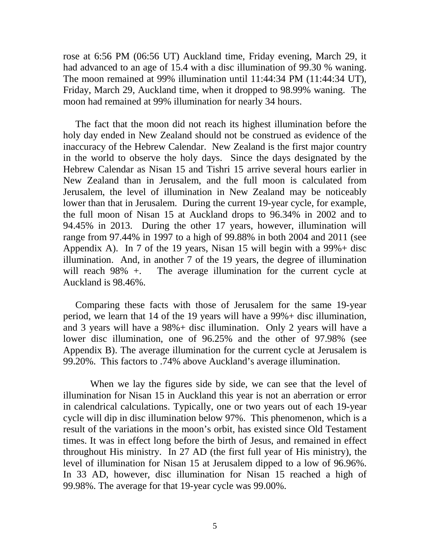rose at 6:56 PM (06:56 UT) Auckland time, Friday evening, March 29, it had advanced to an age of 15.4 with a disc illumination of 99.30 % waning. The moon remained at 99% illumination until 11:44:34 PM (11:44:34 UT), Friday, March 29, Auckland time, when it dropped to 98.99% waning. The moon had remained at 99% illumination for nearly 34 hours.

 The fact that the moon did not reach its highest illumination before the holy day ended in New Zealand should not be construed as evidence of the inaccuracy of the Hebrew Calendar. New Zealand is the first major country in the world to observe the holy days. Since the days designated by the Hebrew Calendar as Nisan 15 and Tishri 15 arrive several hours earlier in New Zealand than in Jerusalem, and the full moon is calculated from Jerusalem, the level of illumination in New Zealand may be noticeably lower than that in Jerusalem. During the current 19-year cycle, for example, the full moon of Nisan 15 at Auckland drops to 96.34% in 2002 and to 94.45% in 2013. During the other 17 years, however, illumination will range from 97.44% in 1997 to a high of 99.88% in both 2004 and 2011 (see Appendix A). In 7 of the 19 years, Nisan 15 will begin with a  $99\% +$  disc illumination. And, in another 7 of the 19 years, the degree of illumination will reach 98% +. The average illumination for the current cycle at Auckland is 98.46%.

 Comparing these facts with those of Jerusalem for the same 19-year period, we learn that 14 of the 19 years will have a 99%+ disc illumination, and 3 years will have a 98%+ disc illumination. Only 2 years will have a lower disc illumination, one of 96.25% and the other of 97.98% (see Appendix B). The average illumination for the current cycle at Jerusalem is 99.20%. This factors to .74% above Auckland's average illumination.

 When we lay the figures side by side, we can see that the level of illumination for Nisan 15 in Auckland this year is not an aberration or error in calendrical calculations. Typically, one or two years out of each 19-year cycle will dip in disc illumination below 97%. This phenomenon, which is a result of the variations in the moon's orbit, has existed since Old Testament times. It was in effect long before the birth of Jesus, and remained in effect throughout His ministry. In 27 AD (the first full year of His ministry), the level of illumination for Nisan 15 at Jerusalem dipped to a low of 96.96%. In 33 AD, however, disc illumination for Nisan 15 reached a high of 99.98%. The average for that 19-year cycle was 99.00%.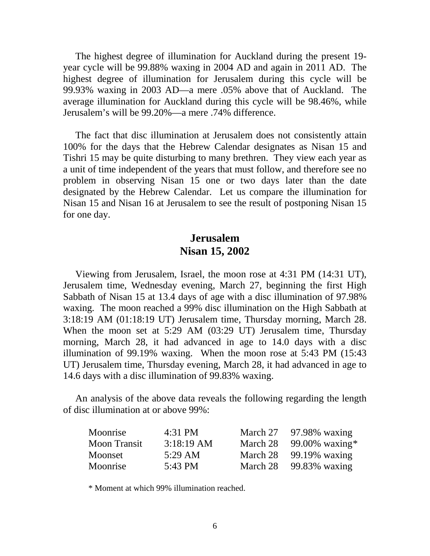The highest degree of illumination for Auckland during the present 19 year cycle will be 99.88% waxing in 2004 AD and again in 2011 AD. The highest degree of illumination for Jerusalem during this cycle will be 99.93% waxing in 2003 AD—a mere .05% above that of Auckland. The average illumination for Auckland during this cycle will be 98.46%, while Jerusalem's will be 99.20%—a mere .74% difference.

 The fact that disc illumination at Jerusalem does not consistently attain 100% for the days that the Hebrew Calendar designates as Nisan 15 and Tishri 15 may be quite disturbing to many brethren. They view each year as a unit of time independent of the years that must follow, and therefore see no problem in observing Nisan 15 one or two days later than the date designated by the Hebrew Calendar. Let us compare the illumination for Nisan 15 and Nisan 16 at Jerusalem to see the result of postponing Nisan 15 for one day.

### **Jerusalem Nisan 15, 2002**

 Viewing from Jerusalem, Israel, the moon rose at 4:31 PM (14:31 UT), Jerusalem time, Wednesday evening, March 27, beginning the first High Sabbath of Nisan 15 at 13.4 days of age with a disc illumination of 97.98% waxing*.* The moon reached a 99% disc illumination on the High Sabbath at 3:18:19 AM (01:18:19 UT) Jerusalem time, Thursday morning, March 28. When the moon set at 5:29 AM (03:29 UT) Jerusalem time, Thursday morning, March 28, it had advanced in age to 14.0 days with a disc illumination of 99.19% waxing. When the moon rose at 5:43 PM (15:43 UT) Jerusalem time, Thursday evening, March 28, it had advanced in age to 14.6 days with a disc illumination of 99.83% waxing.

 An analysis of the above data reveals the following regarding the length of disc illumination at or above 99%:

| Moonrise            | 4:31 PM           |          | March $27$ 97.98% waxing |
|---------------------|-------------------|----------|--------------------------|
| <b>Moon Transit</b> | $3:18:19$ AM      | March 28 | 99.00% waxing*           |
| Moonset             | $5:29 \text{ AM}$ | March 28 | 99.19% waxing            |
| Moonrise            | 5:43 PM           | March 28 | 99.83% waxing            |

\* Moment at which 99% illumination reached.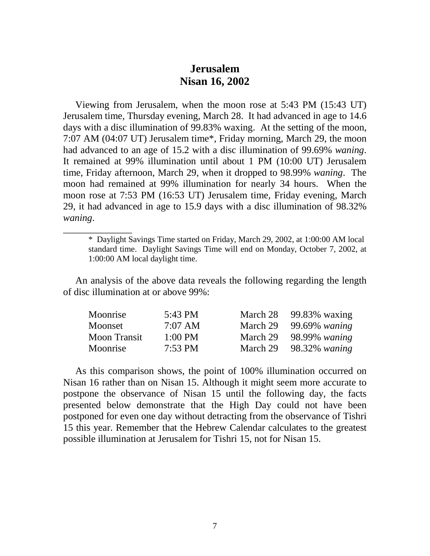### **Jerusalem Nisan 16, 2002**

 Viewing from Jerusalem, when the moon rose at 5:43 PM (15:43 UT) Jerusalem time, Thursday evening, March 28. It had advanced in age to 14.6 days with a disc illumination of 99.83% waxing. At the setting of the moon, 7:07 AM (04:07 UT) Jerusalem time\*, Friday morning, March 29, the moon had advanced to an age of 15.2 with a disc illumination of 99.69% *waning*. It remained at 99% illumination until about 1 PM (10:00 UT) Jerusalem time, Friday afternoon, March 29, when it dropped to 98.99% *waning*. The moon had remained at 99% illumination for nearly 34 hours. When the moon rose at 7:53 PM (16:53 UT) Jerusalem time, Friday evening, March 29, it had advanced in age to 15.9 days with a disc illumination of 98.32% *waning*.

 An analysis of the above data reveals the following regarding the length of disc illumination at or above 99%:

\_\_\_\_\_\_\_\_\_\_\_\_\_\_

| Moonrise            | 5:43 PM           | March $28$ 99.83% waxing  |
|---------------------|-------------------|---------------------------|
| Moonset             | $7:07$ AM         | March 29 $99.69\%$ waning |
| <b>Moon Transit</b> | $1:00$ PM         | March 29 98.99% waning    |
| Moonrise            | $7:53 \text{ PM}$ | March $29$ 98.32% waning  |

 As this comparison shows, the point of 100% illumination occurred on Nisan 16 rather than on Nisan 15. Although it might seem more accurate to postpone the observance of Nisan 15 until the following day, the facts presented below demonstrate that the High Day could not have been postponed for even one day without detracting from the observance of Tishri 15 this year. Remember that the Hebrew Calendar calculates to the greatest possible illumination at Jerusalem for Tishri 15, not for Nisan 15.

<sup>\*</sup> Daylight Savings Time started on Friday, March 29, 2002, at 1:00:00 AM local standard time. Daylight Savings Time will end on Monday, October 7, 2002, at 1:00:00 AM local daylight time.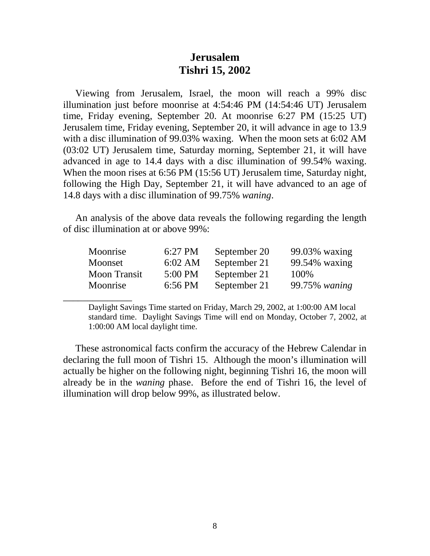### **Jerusalem Tishri 15, 2002**

 Viewing from Jerusalem, Israel, the moon will reach a 99% disc illumination just before moonrise at 4:54:46 PM (14:54:46 UT) Jerusalem time, Friday evening, September 20. At moonrise 6:27 PM (15:25 UT) Jerusalem time, Friday evening, September 20, it will advance in age to 13.9 with a disc illumination of 99.03% waxing. When the moon sets at 6:02 AM (03:02 UT) Jerusalem time, Saturday morning, September 21, it will have advanced in age to 14.4 days with a disc illumination of 99.54% waxing. When the moon rises at 6:56 PM (15:56 UT) Jerusalem time, Saturday night, following the High Day, September 21, it will have advanced to an age of 14.8 days with a disc illumination of 99.75% *waning*.

 An analysis of the above data reveals the following regarding the length of disc illumination at or above 99%:

| Moonrise            | 6:27 PM   | September 20 | 99.03% waxing |
|---------------------|-----------|--------------|---------------|
| Moonset             | $6:02$ AM | September 21 | 99.54% waxing |
| <b>Moon Transit</b> | 5:00 PM   | September 21 | 100\%         |
| Moonrise            | 6:56 PM   | September 21 | 99.75% waning |

\_\_\_\_\_\_\_\_\_\_\_\_\_\_

Daylight Savings Time started on Friday, March 29, 2002, at 1:00:00 AM local standard time. Daylight Savings Time will end on Monday, October 7, 2002, at 1:00:00 AM local daylight time.

 These astronomical facts confirm the accuracy of the Hebrew Calendar in declaring the full moon of Tishri 15. Although the moon's illumination will actually be higher on the following night, beginning Tishri 16, the moon will already be in the *waning* phase. Before the end of Tishri 16, the level of illumination will drop below 99%, as illustrated below.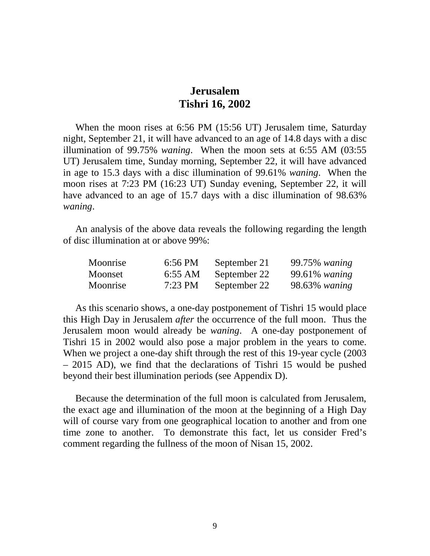### **Jerusalem Tishri 16, 2002**

 When the moon rises at 6:56 PM (15:56 UT) Jerusalem time, Saturday night, September 21, it will have advanced to an age of 14.8 days with a disc illumination of 99.75% *waning*. When the moon sets at 6:55 AM (03:55 UT) Jerusalem time, Sunday morning, September 22, it will have advanced in age to 15.3 days with a disc illumination of 99.61% *waning*. When the moon rises at 7:23 PM (16:23 UT) Sunday evening, September 22, it will have advanced to an age of 15.7 days with a disc illumination of 98.63% *waning*.

 An analysis of the above data reveals the following regarding the length of disc illumination at or above 99%:

| Moonrise | 6:56 PM   | September 21 | 99.75% waning    |
|----------|-----------|--------------|------------------|
| Moonset  | 6:55 AM   | September 22 | $99.61\%$ waning |
| Moonrise | $7:23$ PM | September 22 | 98.63% waning    |

 As this scenario shows, a one-day postponement of Tishri 15 would place this High Day in Jerusalem *after* the occurrence of the full moon. Thus the Jerusalem moon would already be *waning*. A one-day postponement of Tishri 15 in 2002 would also pose a major problem in the years to come. When we project a one-day shift through the rest of this 19-year cycle (2003 – 2015 AD), we find that the declarations of Tishri 15 would be pushed beyond their best illumination periods (see Appendix D).

 Because the determination of the full moon is calculated from Jerusalem, the exact age and illumination of the moon at the beginning of a High Day will of course vary from one geographical location to another and from one time zone to another. To demonstrate this fact, let us consider Fred's comment regarding the fullness of the moon of Nisan 15, 2002.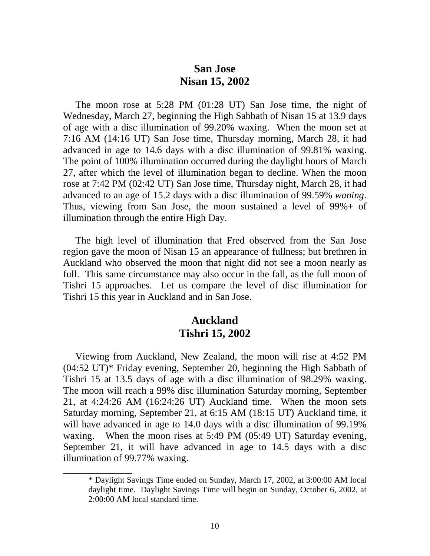### **San Jose Nisan 15, 2002**

 The moon rose at 5:28 PM (01:28 UT) San Jose time, the night of Wednesday, March 27, beginning the High Sabbath of Nisan 15 at 13.9 days of age with a disc illumination of 99.20% waxing. When the moon set at 7:16 AM (14:16 UT) San Jose time, Thursday morning, March 28, it had advanced in age to 14.6 days with a disc illumination of 99.81% waxing. The point of 100% illumination occurred during the daylight hours of March 27, after which the level of illumination began to decline. When the moon rose at 7:42 PM (02:42 UT) San Jose time, Thursday night, March 28, it had advanced to an age of 15.2 days with a disc illumination of 99.59% *waning*. Thus, viewing from San Jose, the moon sustained a level of 99%+ of illumination through the entire High Day.

 The high level of illumination that Fred observed from the San Jose region gave the moon of Nisan 15 an appearance of fullness; but brethren in Auckland who observed the moon that night did not see a moon nearly as full. This same circumstance may also occur in the fall, as the full moon of Tishri 15 approaches. Let us compare the level of disc illumination for Tishri 15 this year in Auckland and in San Jose.

### **Auckland Tishri 15, 2002**

 Viewing from Auckland, New Zealand, the moon will rise at 4:52 PM (04:52 UT)\* Friday evening, September 20, beginning the High Sabbath of Tishri 15 at 13.5 days of age with a disc illumination of 98.29% waxing. The moon will reach a 99% disc illumination Saturday morning, September 21, at 4:24:26 AM (16:24:26 UT) Auckland time. When the moon sets Saturday morning, September 21, at 6:15 AM (18:15 UT) Auckland time, it will have advanced in age to 14.0 days with a disc illumination of 99.19% waxing. When the moon rises at 5:49 PM (05:49 UT) Saturday evening, September 21, it will have advanced in age to 14.5 days with a disc illumination of 99.77% waxing.

\_\_\_\_\_\_\_\_\_\_\_\_\_\_

<sup>\*</sup> Daylight Savings Time ended on Sunday, March 17, 2002, at 3:00:00 AM local daylight time. Daylight Savings Time will begin on Sunday, October 6, 2002, at 2:00:00 AM local standard time.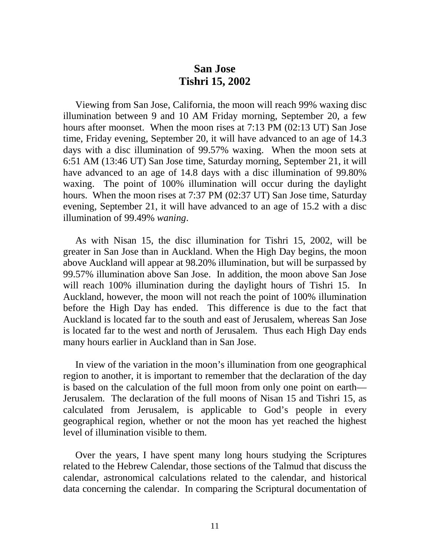### **San Jose Tishri 15, 2002**

 Viewing from San Jose, California, the moon will reach 99% waxing disc illumination between 9 and 10 AM Friday morning, September 20, a few hours after moonset. When the moon rises at 7:13 PM (02:13 UT) San Jose time, Friday evening, September 20, it will have advanced to an age of 14.3 days with a disc illumination of 99.57% waxing. When the moon sets at 6:51 AM (13:46 UT) San Jose time, Saturday morning, September 21, it will have advanced to an age of 14.8 days with a disc illumination of 99.80% waxing. The point of 100% illumination will occur during the daylight hours. When the moon rises at 7:37 PM (02:37 UT) San Jose time, Saturday evening, September 21, it will have advanced to an age of 15.2 with a disc illumination of 99.49% *waning*.

 As with Nisan 15, the disc illumination for Tishri 15, 2002, will be greater in San Jose than in Auckland. When the High Day begins, the moon above Auckland will appear at 98.20% illumination, but will be surpassed by 99.57% illumination above San Jose. In addition, the moon above San Jose will reach 100% illumination during the daylight hours of Tishri 15. In Auckland, however, the moon will not reach the point of 100% illumination before the High Day has ended. This difference is due to the fact that Auckland is located far to the south and east of Jerusalem, whereas San Jose is located far to the west and north of Jerusalem. Thus each High Day ends many hours earlier in Auckland than in San Jose.

 In view of the variation in the moon's illumination from one geographical region to another, it is important to remember that the declaration of the day is based on the calculation of the full moon from only one point on earth— Jerusalem. The declaration of the full moons of Nisan 15 and Tishri 15, as calculated from Jerusalem, is applicable to God's people in every geographical region, whether or not the moon has yet reached the highest level of illumination visible to them.

 Over the years, I have spent many long hours studying the Scriptures related to the Hebrew Calendar, those sections of the Talmud that discuss the calendar, astronomical calculations related to the calendar, and historical data concerning the calendar. In comparing the Scriptural documentation of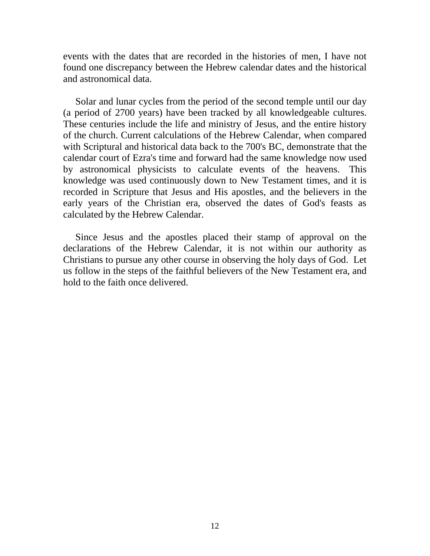events with the dates that are recorded in the histories of men, I have not found one discrepancy between the Hebrew calendar dates and the historical and astronomical data.

 Solar and lunar cycles from the period of the second temple until our day (a period of 2700 years) have been tracked by all knowledgeable cultures. These centuries include the life and ministry of Jesus, and the entire history of the church. Current calculations of the Hebrew Calendar, when compared with Scriptural and historical data back to the 700's BC, demonstrate that the calendar court of Ezra's time and forward had the same knowledge now used by astronomical physicists to calculate events of the heavens. This knowledge was used continuously down to New Testament times, and it is recorded in Scripture that Jesus and His apostles, and the believers in the early years of the Christian era, observed the dates of God's feasts as calculated by the Hebrew Calendar.

 Since Jesus and the apostles placed their stamp of approval on the declarations of the Hebrew Calendar, it is not within our authority as Christians to pursue any other course in observing the holy days of God. Let us follow in the steps of the faithful believers of the New Testament era, and hold to the faith once delivered.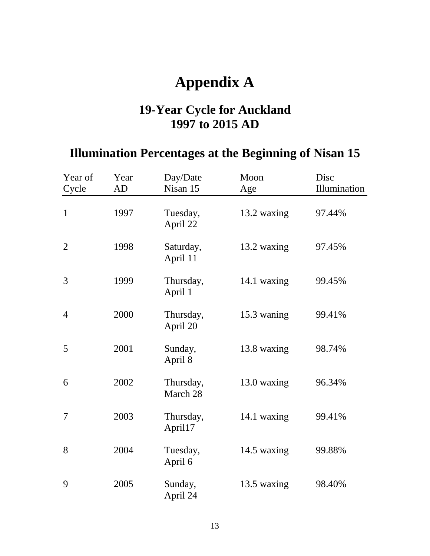## **Appendix A**

## **19-Year Cycle for Auckland 1997 to 2015 AD**

## **Illumination Percentages at the Beginning of Nisan 15**

| Year of<br>Cycle | Year<br>AD | Day/Date<br>Nisan 15  | Moon<br>Age | Disc<br>Illumination |
|------------------|------------|-----------------------|-------------|----------------------|
| $\mathbf{1}$     | 1997       | Tuesday,<br>April 22  | 13.2 waxing | 97.44%               |
| $\overline{2}$   | 1998       | Saturday,<br>April 11 | 13.2 waxing | 97.45%               |
| 3                | 1999       | Thursday,<br>April 1  | 14.1 waxing | 99.45%               |
| $\overline{4}$   | 2000       | Thursday,<br>April 20 | 15.3 waning | 99.41%               |
| 5                | 2001       | Sunday,<br>April 8    | 13.8 waxing | 98.74%               |
| 6                | 2002       | Thursday,<br>March 28 | 13.0 waxing | 96.34%               |
| $\overline{7}$   | 2003       | Thursday,<br>April17  | 14.1 waxing | 99.41%               |
| 8                | 2004       | Tuesday,<br>April 6   | 14.5 waxing | 99.88%               |
| 9                | 2005       | Sunday,<br>April 24   | 13.5 waxing | 98.40%               |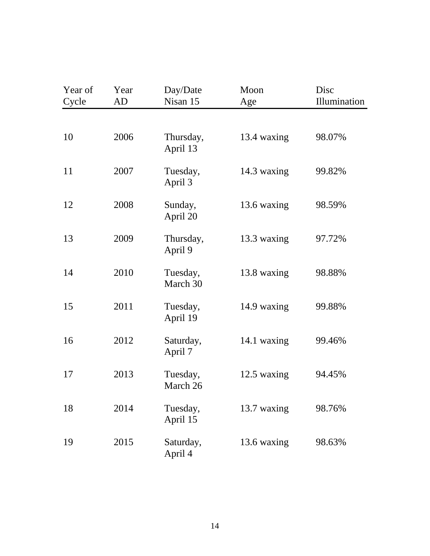| Year of<br>Cycle | Year<br>AD | Day/Date<br>Nisan 15  | Moon<br>Age | Disc<br>Illumination |
|------------------|------------|-----------------------|-------------|----------------------|
|                  |            |                       |             |                      |
| 10               | 2006       | Thursday,<br>April 13 | 13.4 waxing | 98.07%               |
| 11               | 2007       | Tuesday,<br>April 3   | 14.3 waxing | 99.82%               |
| 12               | 2008       | Sunday,<br>April 20   | 13.6 waxing | 98.59%               |
| 13               | 2009       | Thursday,<br>April 9  | 13.3 waxing | 97.72%               |
| 14               | 2010       | Tuesday,<br>March 30  | 13.8 waxing | 98.88%               |
| 15               | 2011       | Tuesday,<br>April 19  | 14.9 waxing | 99.88%               |
| 16               | 2012       | Saturday,<br>April 7  | 14.1 waxing | 99.46%               |
| 17               | 2013       | Tuesday,<br>March 26  | 12.5 waxing | 94.45%               |
| 18               | 2014       | Tuesday,<br>April 15  | 13.7 waxing | 98.76%               |
| 19               | 2015       | Saturday,<br>April 4  | 13.6 waxing | 98.63%               |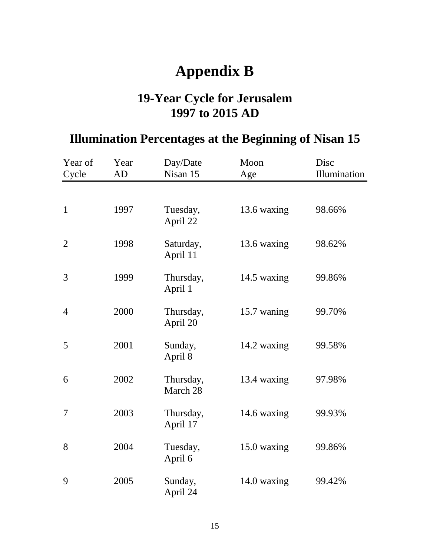## **Appendix B**

## **19-Year Cycle for Jerusalem 1997 to 2015 AD**

## **Illumination Percentages at the Beginning of Nisan 15**

| Year of<br>Cycle | Year<br>AD | Day/Date<br>Nisan 15  | Moon<br>Age | Disc<br>Illumination |
|------------------|------------|-----------------------|-------------|----------------------|
|                  |            |                       |             |                      |
| $\mathbf{1}$     | 1997       | Tuesday,<br>April 22  | 13.6 waxing | 98.66%               |
| $\overline{2}$   | 1998       | Saturday,<br>April 11 | 13.6 waxing | 98.62%               |
| 3                | 1999       | Thursday,<br>April 1  | 14.5 waxing | 99.86%               |
| $\overline{4}$   | 2000       | Thursday,<br>April 20 | 15.7 waning | 99.70%               |
| 5                | 2001       | Sunday,<br>April 8    | 14.2 waxing | 99.58%               |
| 6                | 2002       | Thursday,<br>March 28 | 13.4 waxing | 97.98%               |
| 7                | 2003       | Thursday,<br>April 17 | 14.6 waxing | 99.93%               |
| 8                | 2004       | Tuesday,<br>April 6   | 15.0 waxing | 99.86%               |
| 9                | 2005       | Sunday,<br>April 24   | 14.0 waxing | 99.42%               |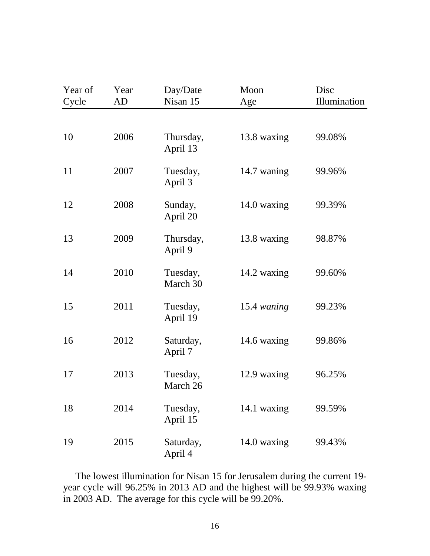| Year of<br>Cycle | Year<br>AD | Day/Date<br>Nisan 15  | Moon<br>Age | Disc<br>Illumination |
|------------------|------------|-----------------------|-------------|----------------------|
|                  |            |                       |             |                      |
| 10               | 2006       | Thursday,<br>April 13 | 13.8 waxing | 99.08%               |
| 11               | 2007       | Tuesday,<br>April 3   | 14.7 waning | 99.96%               |
| 12               | 2008       | Sunday,<br>April 20   | 14.0 waxing | 99.39%               |
| 13               | 2009       | Thursday,<br>April 9  | 13.8 waxing | 98.87%               |
| 14               | 2010       | Tuesday,<br>March 30  | 14.2 waxing | 99.60%               |
| 15               | 2011       | Tuesday,<br>April 19  | 15.4 waning | 99.23%               |
| 16               | 2012       | Saturday,<br>April 7  | 14.6 waxing | 99.86%               |
| 17               | 2013       | Tuesday,<br>March 26  | 12.9 waxing | 96.25%               |
| 18               | 2014       | Tuesday,<br>April 15  | 14.1 waxing | 99.59%               |
| 19               | 2015       | Saturday,<br>April 4  | 14.0 waxing | 99.43%               |

 The lowest illumination for Nisan 15 for Jerusalem during the current 19 year cycle will 96.25% in 2013 AD and the highest will be 99.93% waxing in 2003 AD. The average for this cycle will be 99.20%.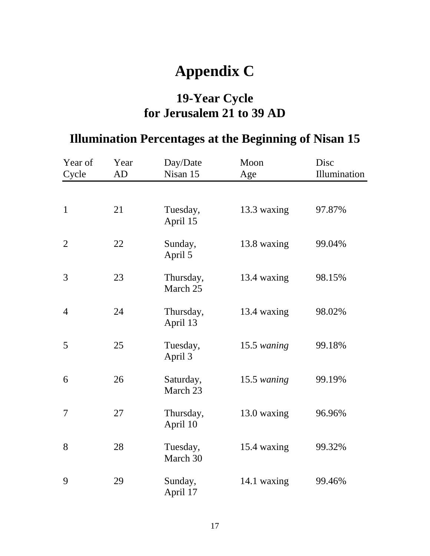# **Appendix C**

### **19-Year Cycle for Jerusalem 21 to 39 AD**

## **Illumination Percentages at the Beginning of Nisan 15**

| Year of<br>Cycle | Year<br>AD | Day/Date<br>Nisan 15  | Moon<br>Age   | Disc<br>Illumination |
|------------------|------------|-----------------------|---------------|----------------------|
|                  |            |                       |               |                      |
| $\mathbf{1}$     | 21         | Tuesday,<br>April 15  | 13.3 waxing   | 97.87%               |
| $\overline{2}$   | 22         | Sunday,<br>April 5    | 13.8 waxing   | 99.04%               |
| 3                | 23         | Thursday,<br>March 25 | 13.4 waxing   | 98.15%               |
| $\overline{4}$   | 24         | Thursday,<br>April 13 | 13.4 waxing   | 98.02%               |
| 5                | 25         | Tuesday,<br>April 3   | $15.5$ waning | 99.18%               |
| 6                | 26         | Saturday,<br>March 23 | 15.5 waning   | 99.19%               |
| $\overline{7}$   | 27         | Thursday,<br>April 10 | 13.0 waxing   | 96.96%               |
| 8                | 28         | Tuesday,<br>March 30  | 15.4 waxing   | 99.32%               |
| 9                | 29         | Sunday,<br>April 17   | 14.1 waxing   | 99.46%               |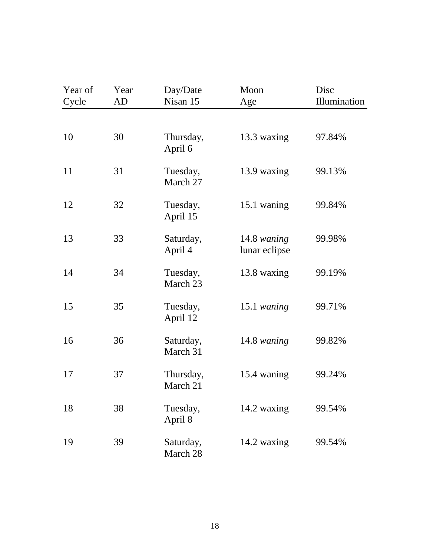| Year of<br>Cycle | Year<br>AD | Day/Date<br>Nisan 15  | Moon<br>Age                  | Disc<br>Illumination |
|------------------|------------|-----------------------|------------------------------|----------------------|
|                  |            |                       |                              |                      |
| 10               | 30         | Thursday,<br>April 6  | 13.3 waxing                  | 97.84%               |
| 11               | 31         | Tuesday,<br>March 27  | 13.9 waxing                  | 99.13%               |
| 12               | 32         | Tuesday,<br>April 15  | 15.1 waning                  | 99.84%               |
| 13               | 33         | Saturday,<br>April 4  | 14.8 waning<br>lunar eclipse | 99.98%               |
| 14               | 34         | Tuesday,<br>March 23  | 13.8 waxing                  | 99.19%               |
| 15               | 35         | Tuesday,<br>April 12  | 15.1 waning                  | 99.71%               |
| 16               | 36         | Saturday,<br>March 31 | 14.8 waning                  | 99.82%               |
| 17               | 37         | Thursday,<br>March 21 | 15.4 waning                  | 99.24%               |
| 18               | 38         | Tuesday,<br>April 8   | 14.2 waxing                  | 99.54%               |
| 19               | 39         | Saturday,<br>March 28 | 14.2 waxing                  | 99.54%               |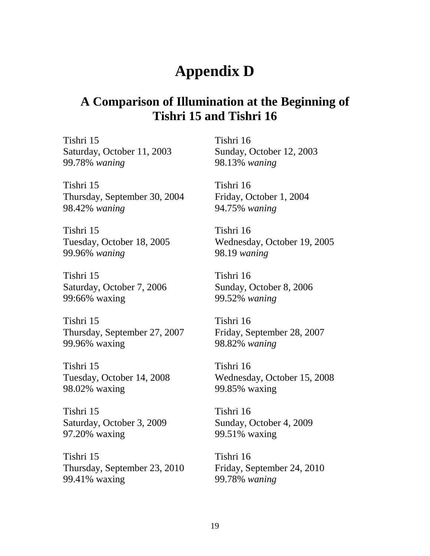## **Appendix D**

### **A Comparison of Illumination at the Beginning of Tishri 15 and Tishri 16**

Tishri 15 Tishri 16 Saturday, October 11, 2003 Sunday, October 12, 2003 99.78% *waning* 98.13% *waning*

Tishri 15 Tishri 16 Thursday, September 30, 2004 Friday, October 1, 2004 98.42% *waning* 94.75% *waning*

Tishri 15 Tishri 16 99.96% *waning* 98.19 *waning* 

Tishri 15 Tishri 16 Saturday, October 7, 2006 Sunday, October 8, 2006 99:66% waxing 99.52% *waning*

Tishri 15 Tishri 16 Thursday, September 27, 2007 Friday, September 28, 2007 99.96% waxing 98.82% *waning*

Tishri 15 Tishri 16 98.02% waxing 99.85% waxing

Tishri 15 Tishri 16 Saturday, October 3, 2009 Sunday, October 4, 2009 97.20% waxing 99.51% waxing

Tishri 15 Tishri 16 Thursday, September 23, 2010 Friday, September 24, 2010 99.41% waxing 99.78% *waning*

Tuesday, October 18, 2005 Wednesday, October 19, 2005

Tuesday, October 14, 2008 Wednesday, October 15, 2008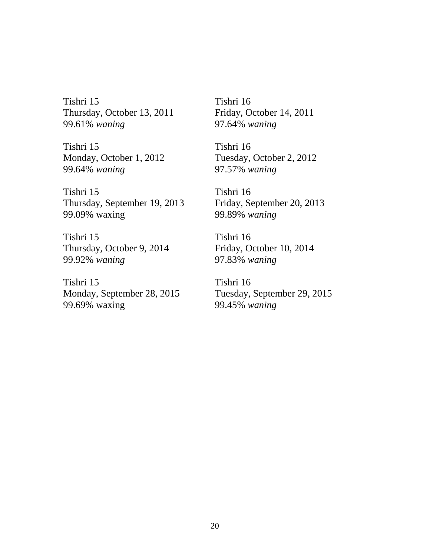Tishri 15 Tishri 16 Thursday, October 13, 2011 Friday, October 14, 2011 99.61% *waning* 97.64% *waning*

Tishri 15 Tishri 16 99.64% *waning* 97.57% *waning* 

Tishri 15 Tishri 16 Thursday, September 19, 2013 Friday, September 20, 2013 99.09% waxing 99.89% *waning*

Tishri 15 Tishri 16 Thursday, October 9, 2014 Friday, October 10, 2014 99.92% *waning* 97.83% *waning*

Tishri 15 Tishri 16 Monday, September 28, 2015 Tuesday, September 29, 2015 99.69% waxing 99.45% *waning*

Monday, October 1, 2012 Tuesday, October 2, 2012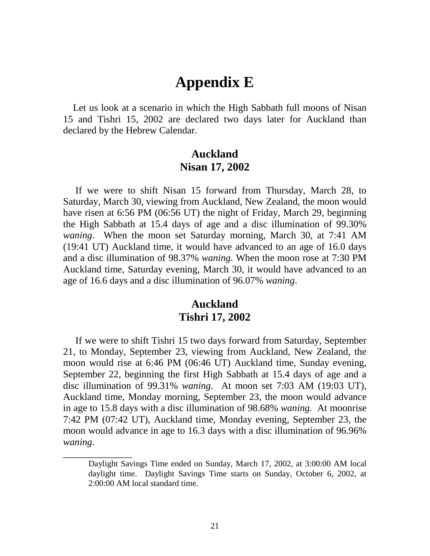## **Appendix E**

 Let us look at a scenario in which the High Sabbath full moons of Nisan 15 and Tishri 15, 2002 are declared two days later for Auckland than declared by the Hebrew Calendar.

#### **Auckland Nisan 17, 2002**

 If we were to shift Nisan 15 forward from Thursday, March 28, to Saturday, March 30, viewing from Auckland, New Zealand, the moon would have risen at 6:56 PM (06:56 UT) the night of Friday, March 29, beginning the High Sabbath at 15.4 days of age and a disc illumination of 99.30% *waning*. When the moon set Saturday morning, March 30, at 7:41 AM (19:41 UT) Auckland time, it would have advanced to an age of 16.0 days and a disc illumination of 98.37% *waning*. When the moon rose at 7:30 PM Auckland time, Saturday evening, March 30, it would have advanced to an age of 16.6 days and a disc illumination of 96.07% *waning*.

#### **Auckland Tishri 17, 2002**

 If we were to shift Tishri 15 two days forward from Saturday, September 21, to Monday, September 23, viewing from Auckland, New Zealand, the moon would rise at 6:46 PM (06:46 UT) Auckland time, Sunday evening, September 22, beginning the first High Sabbath at 15.4 days of age and a disc illumination of 99.31% *waning*. At moon set 7:03 AM (19:03 UT), Auckland time, Monday morning, September 23, the moon would advance in age to 15.8 days with a disc illumination of 98.68% *waning.* At moonrise 7:42 PM (07:42 UT), Auckland time, Monday evening, September 23, the moon would advance in age to 16.3 days with a disc illumination of 96.96% *waning*.

\_\_\_\_\_\_\_\_\_\_\_\_\_\_

Daylight Savings Time ended on Sunday, March 17, 2002, at 3:00:00 AM local daylight time. Daylight Savings Time starts on Sunday, October 6, 2002, at 2:00:00 AM local standard time.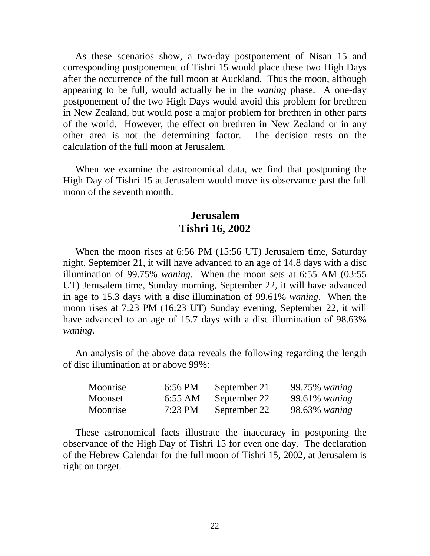As these scenarios show, a two-day postponement of Nisan 15 and corresponding postponement of Tishri 15 would place these two High Days after the occurrence of the full moon at Auckland. Thus the moon, although appearing to be full, would actually be in the *waning* phase. A one-day postponement of the two High Days would avoid this problem for brethren in New Zealand, but would pose a major problem for brethren in other parts of the world. However, the effect on brethren in New Zealand or in any other area is not the determining factor. The decision rests on the calculation of the full moon at Jerusalem.

 When we examine the astronomical data, we find that postponing the High Day of Tishri 15 at Jerusalem would move its observance past the full moon of the seventh month.

#### **Jerusalem Tishri 16, 2002**

 When the moon rises at 6:56 PM (15:56 UT) Jerusalem time, Saturday night, September 21, it will have advanced to an age of 14.8 days with a disc illumination of 99.75% *waning*. When the moon sets at 6:55 AM (03:55 UT) Jerusalem time, Sunday morning, September 22, it will have advanced in age to 15.3 days with a disc illumination of 99.61% *waning*. When the moon rises at 7:23 PM (16:23 UT) Sunday evening, September 22, it will have advanced to an age of 15.7 days with a disc illumination of 98.63% *waning*.

 An analysis of the above data reveals the following regarding the length of disc illumination at or above 99%:

| Moonrise | 6:56 PM   | September 21 | 99.75% waning |
|----------|-----------|--------------|---------------|
| Moonset  | 6:55 AM   | September 22 | 99.61% waning |
| Moonrise | $7:23$ PM | September 22 | 98.63% waning |

 These astronomical facts illustrate the inaccuracy in postponing the observance of the High Day of Tishri 15 for even one day. The declaration of the Hebrew Calendar for the full moon of Tishri 15, 2002, at Jerusalem is right on target.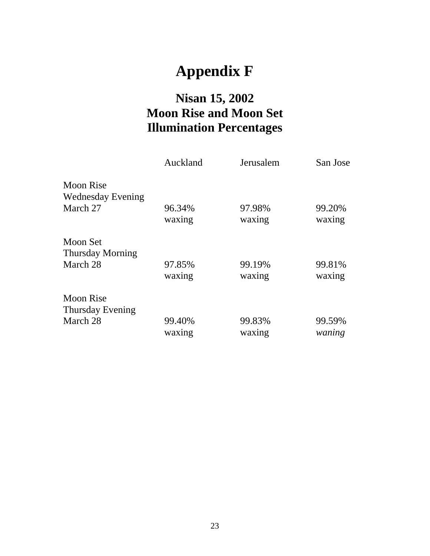# **Appendix F**

## **Nisan 15, 2002 Moon Rise and Moon Set Illumination Percentages**

|                          | Auckland | Jerusalem | San Jose |
|--------------------------|----------|-----------|----------|
| Moon Rise                |          |           |          |
| <b>Wednesday Evening</b> |          |           |          |
| March 27                 | 96.34%   | 97.98%    | 99.20%   |
|                          | waxing   | waxing    | waxing   |
| Moon Set                 |          |           |          |
| <b>Thursday Morning</b>  |          |           |          |
| March 28                 | 97.85%   | 99.19%    | 99.81%   |
|                          | waxing   | waxing    | waxing   |
| Moon Rise                |          |           |          |
| Thursday Evening         |          |           |          |
| March 28                 | 99.40%   | 99.83%    | 99.59%   |
|                          | waxing   | waxing    | waning   |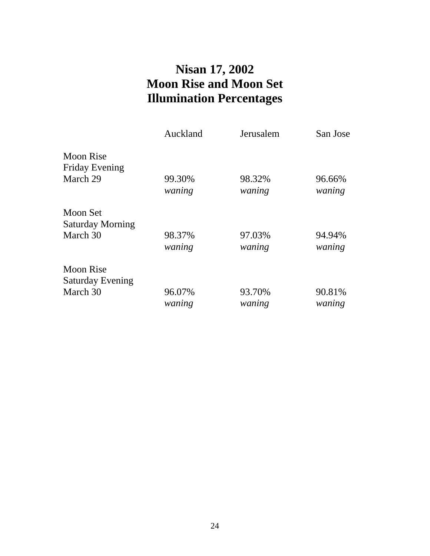## **Nisan 17, 2002 Moon Rise and Moon Set Illumination Percentages**

|                         | Auckland | Jerusalem | San Jose |
|-------------------------|----------|-----------|----------|
| Moon Rise               |          |           |          |
| <b>Friday Evening</b>   |          |           |          |
| March 29                | 99.30%   | 98.32%    | 96.66%   |
|                         | waning   | waning    | waning   |
| Moon Set                |          |           |          |
| <b>Saturday Morning</b> |          |           |          |
| March 30                | 98.37%   | 97.03%    | 94.94%   |
|                         | waning   | waning    | waning   |
| <b>Moon Rise</b>        |          |           |          |
| <b>Saturday Evening</b> |          |           |          |
| March 30                | 96.07%   | 93.70%    | 90.81%   |
|                         | waning   | waning    | waning   |
|                         |          |           |          |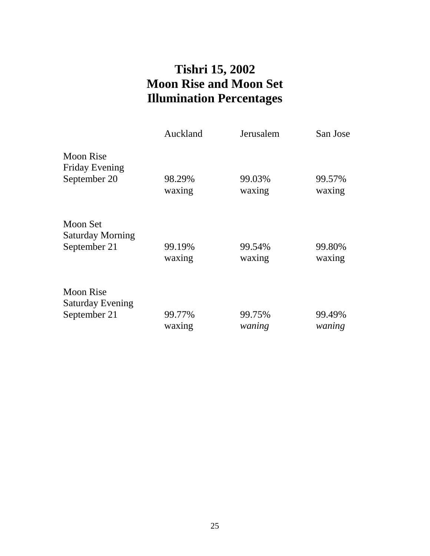## **Tishri 15, 2002 Moon Rise and Moon Set Illumination Percentages**

|                                     | Auckland | Jerusalem | San Jose |
|-------------------------------------|----------|-----------|----------|
| Moon Rise<br><b>Friday Evening</b>  |          |           |          |
| September 20                        | 98.29%   | 99.03%    | 99.57%   |
|                                     | waxing   | waxing    | waxing   |
| Moon Set<br><b>Saturday Morning</b> |          |           |          |
| September 21                        | 99.19%   | 99.54%    | 99.80%   |
|                                     | waxing   | waxing    | waxing   |
| <b>Moon Rise</b>                    |          |           |          |
| <b>Saturday Evening</b>             |          |           |          |
| September 21                        | 99.77%   | 99.75%    | 99.49%   |
|                                     | waxing   | waning    | waning   |